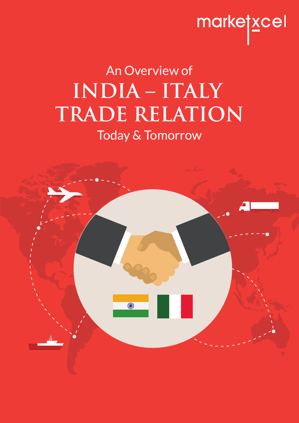# marketxcel

# **INDIA – ITALY TRADE RELATION** An Overview of Today & Tomorrow

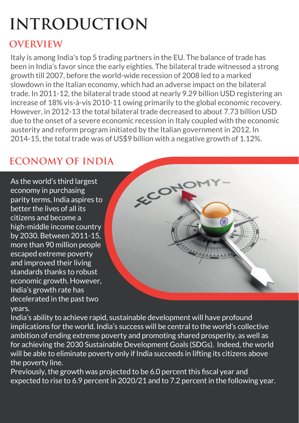# **INTRODUCTION**

# **OVERVIEW**

Italy is among India's top 5 trading partners in the EU. The balance of trade has been in India's favor since the early eighties. The bilateral trade witnessed a strong growth till 2007, before the world-wide recession of 2008 led to a marked slowdown in the Italian economy, which had an adverse impact on the bilateral trade. In 2011-12, the bilateral trade stood at nearly 9.29 billion USD registering an increase of 18% vis-à-vis 2010-11 owing primarily to the global economic recovery. However, in 2012-13 the total bilateral trade decreased to about 7.73 billion USD due to the onset of a severe economic recession in Italy coupled with the economic austerity and reform program initiated by the Italian government in 2012. In 2014-15, the total trade was of US\$9 billion with a negative growth of 1.12%.

# **ECONOMY OF INDIA**

As the world's third largest economy in purchasing parity terms, India aspires to better the lives of all its citizens and become a high-middle income country by 2030. Between 2011-15, more than 90 million people escaped extreme poverty and improved their living standards thanks to robust economic growth. However, India's growth rate has decelerated in the past two years.



India's ability to achieve rapid, sustainable development will have profound implications for the world. India's success will be central to the world's collective ambition of ending extreme poverty and promoting shared prosperity, as well as for achieving the 2030 Sustainable Development Goals (SDGs). Indeed, the world will be able to eliminate poverty only if India succeeds in lifting its citizens above the poverty line.

Previously, the growth was projected to be 6.0 percent this fiscal year and expected to rise to 6.9 percent in 2020/21 and to 7.2 percent in the following year.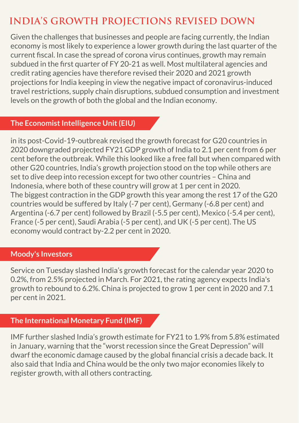# **INDIA'S GROWTH PROJECTIONS REVISED DOWN**

Given the challenges that businesses and people are facing currently, the Indian economy is most likely to experience a lower growth during the last quarter of the current fiscal. In case the spread of corona virus continues, growth may remain subdued in the first quarter of FY 20-21 as well. Most multilateral agencies and credit rating agencies have therefore revised their 2020 and 2021 growth projections for India keeping in view the negative impact of coronavirus-induced travel restrictions, supply chain disruptions, subdued consumption and investment levels on the growth of both the global and the Indian economy.

#### **The Economist Intelligence Unit (EIU)**

in its post-Covid-19-outbreak revised the growth forecast for G20 countries in 2020 downgraded projected FY21 GDP growth of India to 2.1 per cent from 6 per cent before the outbreak. While this looked like a free fall but when compared with other G20 countries, India's growth projection stood on the top while others are set to dive deep into recession except for two other countries – China and Indonesia, where both of these country will grow at 1 per cent in 2020. The biggest contraction in the GDP growth this year among the rest 17 of the G20 countries would be suffered by Italy (-7 per cent), Germany (-6.8 per cent) and Argentina (-6.7 per cent) followed by Brazil (-5.5 per cent), Mexico (-5.4 per cent), France (-5 per cent), Saudi Arabia (-5 per cent), and UK (-5 per cent). The US economy would contract by-2.2 per cent in 2020.

#### **Moody's Investors**

Service on Tuesday slashed India's growth forecast for the calendar year 2020 to 0.2%, from 2.5% projected in March. For 2021, the rating agency expects India's growth to rebound to 6.2%. China is projected to grow 1 per cent in 2020 and 7.1 per cent in 2021.

#### **The International Monetary Fund (IMF)**

IMF further slashed India's growth estimate for FY21 to 1.9% from 5.8% estimated in January, warning that the "worst recession since the Great Depression" will dwarf the economic damage caused by the global financial crisis a decade back. It also said that India and China would be the only two major economies likely to register growth, with all others contracting.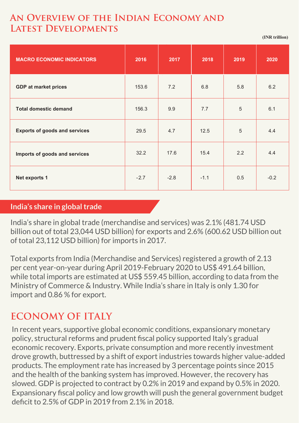## **An Overview of the Indian Economy and Latest Developments**

**(INR trillion)**

| <b>MACRO ECONOMIC INDICATORS</b>     | 2016   | 2017   | 2018   | 2019 | 2020   |
|--------------------------------------|--------|--------|--------|------|--------|
| <b>GDP at market prices</b>          | 153.6  | 7.2    | 6.8    | 5.8  | 6.2    |
| <b>Total domestic demand</b>         | 156.3  | 9.9    | 7.7    | 5    | 6.1    |
| <b>Exports of goods and services</b> | 29.5   | 4.7    | 12.5   | 5    | 4.4    |
| Imports of goods and services        | 32.2   | 17.6   | 15.4   | 2.2  | 4.4    |
| Net exports 1                        | $-2.7$ | $-2.8$ | $-1.1$ | 0.5  | $-0.2$ |

#### **India's share in global trade**

India's share in global trade (merchandise and services) was 2.1% (481.74 USD billion out of total 23,044 USD billion) for exports and 2.6% (600.62 USD billion out of total 23,112 USD billion) for imports in 2017.

Total exports from India (Merchandise and Services) registered a growth of 2.13 per cent year-on-year during April 2019-February 2020 to US\$ 491.64 billion, while total imports are estimated at US\$ 559.45 billion, according to data from the Ministry of Commerce & Industry. While India's share in Italy is only 1.30 for import and 0.86 % for export.

# **ECONOMY OF ITALY**

In recent years, supportive global economic conditions, expansionary monetary policy, structural reforms and prudent fiscal policy supported Italy's gradual economic recovery. Exports, private consumption and more recently investment drove growth, buttressed by a shift of export industries towards higher value-added products. The employment rate has increased by 3 percentage points since 2015 and the health of the banking system has improved. However, the recovery has slowed. GDP is projected to contract by 0.2% in 2019 and expand by 0.5% in 2020. Expansionary fiscal policy and low growth will push the general government budget deficit to 2.5% of GDP in 2019 from 2.1% in 2018.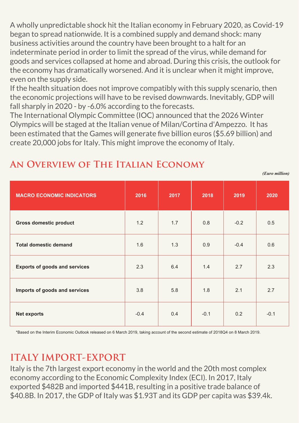A wholly unpredictable shock hit the Italian economy in February 2020, as Covid-19 began to spread nationwide. It is a combined supply and demand shock: many business activities around the country have been brought to a halt for an indeterminate period in order to limit the spread of the virus, while demand for goods and services collapsed at home and abroad. During this crisis, the outlook for the economy has dramatically worsened. And it is unclear when it might improve, even on the supply side.

If the health situation does not improve compatibly with this supply scenario, then the economic projections will have to be revised downwards. Inevitably, GDP will fall sharply in 2020 - by -6.0% according to the forecasts.

The International Olympic Committee (IOC) announced that the 2026 Winter Olympics will be staged at the Italian venue of Milan/Cortina d'Ampezzo. It has been estimated that the Games will generate five billion euros (\$5.69 billion) and create 20,000 jobs for Italy. This might improve the economy of Italy.

| <b>MACRO ECONOMIC INDICATORS</b>     | 2016   | 2017 | 2018   | 2019   | 2020   |
|--------------------------------------|--------|------|--------|--------|--------|
| <b>Gross domestic product</b>        | 1.2    | 1.7  | 0.8    | $-0.2$ | 0.5    |
| <b>Total domestic demand</b>         | 1.6    | 1.3  | 0.9    | $-0.4$ | 0.6    |
| <b>Exports of goods and services</b> | 2.3    | 6.4  | 1.4    | 2.7    | 2.3    |
| Imports of goods and services        | 3.8    | 5.8  | 1.8    | 2.1    | 2.7    |
| <b>Net exports</b>                   | $-0.4$ | 0.4  | $-0.1$ | 0.2    | $-0.1$ |

*(Euro million)*

## **An Overview of The Italian Economy**

\*Based on the Interim Economic Outlook released on 6 March 2019, taking account of the second estimate of 2018Q4 on 8 March 2019.

# **ITALY IMPORT-EXPORT**

Italy is the 7th largest export economy in the world and the 20th most complex economy according to the Economic Complexity Index (ECI). In 2017, Italy exported \$482B and imported \$441B, resulting in a positive trade balance of \$40.8B. In 2017, the GDP of Italy was \$1.93T and its GDP per capita was \$39.4k.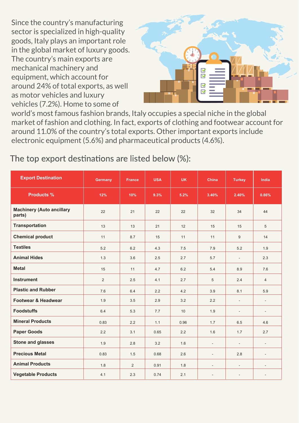Since the country's manufacturing sector is specialized in high-quality goods, Italy plays an important role in the global market of luxury goods. The country's main exports are mechanical machinery and equipment, which account for around 24% of total exports, as well as motor vehicles and luxury vehicles (7.2%). Home to some of



world's most famous fashion brands, Italy occupies a special niche in the global market of fashion and clothing. In fact, exports of clothing and footwear account for around 11.0% of the country's total exports. Other important exports include electronic equipment (5.6%) and pharmaceutical products (4.6%).

### The top export destinations are listed below (%):

| <b>Export Destination</b>                  | Germany | <b>France</b> | <b>USA</b> | <b>UK</b> | China                    | <b>Turkey</b>            | India                    |
|--------------------------------------------|---------|---------------|------------|-----------|--------------------------|--------------------------|--------------------------|
| <b>Products %</b>                          | 12%     | 10%           | 9.3%       | 5.2%      | 3.40%                    | 2.40%                    | 0.86%                    |
| <b>Machinery (Auto ancillary</b><br>parts) | 22      | 21            | 22         | 22        | 32                       | 34                       | 44                       |
| <b>Transportation</b>                      | 13      | 13            | 21         | 12        | 15                       | 15                       | 5                        |
| <b>Chemical product</b>                    | 11      | 8.7           | 15         | 11        | 11                       | 9                        | 14                       |
| <b>Textiles</b>                            | 5.2     | 6.2           | 4.3        | 7.5       | 7.9                      | 5.2                      | 1.9                      |
| <b>Animal Hides</b>                        | 1.3     | 3.6           | 2.5        | 2.7       | 5.7                      | $\overline{\phantom{a}}$ | 2.3                      |
| <b>Metal</b>                               | 15      | 11            | 4.7        | 6.2       | 5.4                      | 8.9                      | 7.6                      |
| <b>Instrument</b>                          | 2       | 2.5           | 4.1        | 2.7       | 5                        | 2.4                      | $\overline{4}$           |
| <b>Plastic and Rubber</b>                  | 7.6     | 6.4           | 2.2        | 4.2       | 3.9                      | 8.1                      | 5.9                      |
| <b>Footwear &amp; Headwear</b>             | 1.9     | 3.5           | 2.9        | 3.2       | 2.2                      | $\overline{\phantom{a}}$ | $\overline{\phantom{a}}$ |
| <b>Foodstuffs</b>                          | 6.4     | 5.3           | 7.7        | 10        | 1.9                      | $\overline{\phantom{a}}$ | $\blacksquare$           |
| <b>Mineral Products</b>                    | 0.83    | 2.2           | 1.1        | 0.96      | 1.7                      | 6.5                      | 4.6                      |
| <b>Paper Goods</b>                         | 2.2     | 3.1           | 0.65       | 2.2       | 1.6                      | 1.7                      | 2.7                      |
| <b>Stone and glasses</b>                   | 1.9     | 2.8           | 3.2        | 1.6       | ٠                        | $\overline{\phantom{a}}$ | $\blacksquare$           |
| <b>Precious Metal</b>                      | 0.83    | 1.5           | 0.68       | 2.6       | $\overline{\phantom{a}}$ | 2.8                      | $\overline{\phantom{a}}$ |
| <b>Animal Products</b>                     | 1.8     | 2             | 0.91       | 1.8       | ٠                        | $\blacksquare$           | $\blacksquare$           |
| <b>Vegetable Products</b>                  | 4.1     | 2.3           | 0.74       | 2.1       | $\overline{\phantom{a}}$ | $\blacksquare$           | $\blacksquare$           |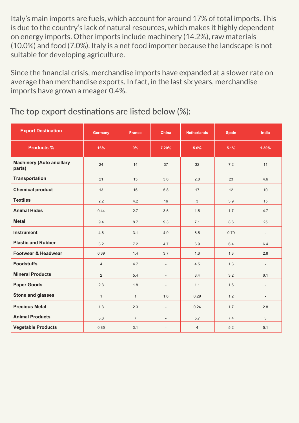Italy's main imports are fuels, which account for around 17% of total imports. This is due to the country's lack of natural resources, which makes it highly dependent on energy imports. Other imports include machinery (14.2%), raw materials (10.0%) and food (7.0%). Italy is a net food importer because the landscape is not suitable for developing agriculture.

Since the financial crisis, merchandise imports have expanded at a slower rate on average than merchandise exports. In fact, in the last six years, merchandise imports have grown a meager 0.4%.

#### The top export destinations are listed below (%):

| <b>Export Destination</b>                  | Germany        | <b>France</b>  | China                    | <b>Netherlands</b> | <b>Spain</b> | India                    |
|--------------------------------------------|----------------|----------------|--------------------------|--------------------|--------------|--------------------------|
| <b>Products %</b>                          | 16%            | 9%             | 7.20%                    | 5.6%               | 5.1%         | 1.30%                    |
| <b>Machinery (Auto ancillary</b><br>parts) | 24             | 14             | 37                       | 32                 | 7.2          | 11                       |
| <b>Transportation</b>                      | 21             | 15             | 3.6                      | 2.8                | 23           | 4.6                      |
| <b>Chemical product</b>                    | 13             | 16             | 5.8                      | 17                 | 12           | 10                       |
| <b>Textiles</b>                            | 2.2            | 4.2            | 16                       | 3                  | 3.9          | 15                       |
| <b>Animal Hides</b>                        | 0.44           | 2.7            | 3.5                      | 1.5                | 1.7          | 4.7                      |
| <b>Metal</b>                               | 9.4            | 8.7            | 9.3                      | 7.1                | 8.6          | 25                       |
| <b>Instrument</b>                          | 4.6            | 3.1            | 4.9                      | 6.5                | 0.79         | $\overline{\phantom{a}}$ |
| <b>Plastic and Rubber</b>                  | 8.2            | 7.2            | 4.7                      | 6.9                | 6.4          | 6.4                      |
| Footwear & Headwear                        | 0.39           | 1.4            | 3.7                      | 1.6                | 1.3          | 2.8                      |
| <b>Foodstuffs</b>                          | $\overline{4}$ | 4.7            | $\blacksquare$           | 4.5                | 1.3          | $\overline{a}$           |
| <b>Mineral Products</b>                    | $\overline{2}$ | 5.4            | $\overline{\phantom{a}}$ | 3.4                | 3.2          | 6.1                      |
| <b>Paper Goods</b>                         | 2.3            | 1.8            | $\overline{\phantom{a}}$ | 1.1                | 1.6          | $\overline{\phantom{a}}$ |
| <b>Stone and glasses</b>                   | $\mathbf{1}$   | $\mathbf{1}$   | 1.6                      | 0.29               | 1.2          | $\overline{\phantom{a}}$ |
| <b>Precious Metal</b>                      | 1.3            | 2.3            | $\blacksquare$           | 0.24               | 1.7          | 2.8                      |
| <b>Animal Products</b>                     | 3.8            | $\overline{7}$ | $\overline{\phantom{a}}$ | 5.7                | 7.4          | 3                        |
| <b>Vegetable Products</b>                  | 0.85           | 3.1            | $\blacksquare$           | $\overline{4}$     | 5.2          | 5.1                      |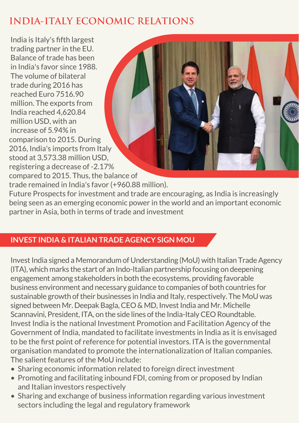# **INDIA-ITALY ECONOMIC RELATIONS**

India is Italy's fifth largest trading partner in the EU. Balance of trade has been in India's favor since 1988. The volume of bilateral trade during 2016 has reached Euro 7516.90 million. The exports from India reached 4,620.84 million USD, with an increase of 5.94% in comparison to 2015. During 2016, India's imports from Italy stood at 3,573.38 million USD, registering a decrease of -2.17% compared to 2015. Thus, the balance of trade remained in India's favor (+960.88 million). Future Prospects for investment and trade are encouraging, as India is increasingly being seen as an emerging economic power in the world and an important economic partner in Asia, both in terms of trade and investment

#### **INVEST INDIA & ITALIAN TRADE AGENCY SIGN MOU**

Invest India signed a Memorandum of Understanding (MoU) with Italian Trade Agency (ITA), which marks the start of an Indo-Italian partnership focusing on deepening engagement among stakeholders in both the ecosystems, providing favorable business environment and necessary guidance to companies of both countries for sustainable growth of their businesses in India and Italy, respectively. The MoU was signed between Mr. Deepak Bagla, CEO & MD, Invest India and Mr. Michelle Scannavini, President, ITA, on the side lines of the India-Italy CEO Roundtable. Invest India is the national Investment Promotion and Facilitation Agency of the Government of India, mandated to facilitate investments in India as it is envisaged to be the first point of reference for potential investors. ITA is the governmental organisation mandated to promote the internationalization of Italian companies. The salient features of the MoU include:

- Sharing economic information related to foreign direct investment
- Promoting and facilitating inbound FDI, coming from or proposed by Indian and Italian investors respectively
- Sharing and exchange of business information regarding various investment sectors including the legal and regulatory framework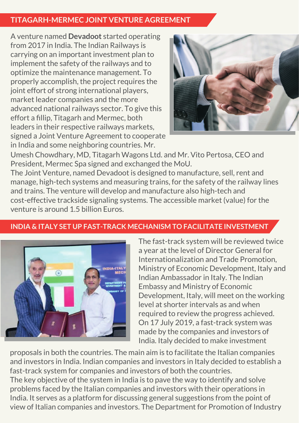#### **TITAGARH-MERMEC JOINT VENTURE AGREEMENT**

A venture named **Devadoot** started operating from 2017 in India. The Indian Railways is carrying on an important investment plan to implement the safety of the railways and to optimize the maintenance management. To properly accomplish, the project requires the joint effort of strong international players, market leader companies and the more advanced national railways sector. To give this effort a fillip, Titagarh and Mermec, both leaders in their respective railways markets, signed a Joint Venture Agreement to cooperate in India and some neighboring countries. Mr.



Umesh Chowdhary, MD, Titagarh Wagons Ltd. and Mr. Vito Pertosa, CEO and President, Mermec Spa signed and exchanged the MoU.

The Joint Venture, named Devadoot is designed to manufacture, sell, rent and manage, high-tech systems and measuring trains, for the safety of the railway lines and trains. The venture will develop and manufacture also high-tech and cost-effective trackside signaling systems. The accessible market (value) for the venture is around 1.5 billion Euros.

#### **INDIA & ITALY SET UP FAST-TRACK MECHANISM TO FACILITATE INVESTMENT**



The fast-track system will be reviewed twice a year at the level of Director General for Internationalization and Trade Promotion, Ministry of Economic Development, Italy and Indian Ambassador in Italy. The Indian Embassy and Ministry of Economic Development, Italy, will meet on the working level at shorter intervals as and when required to review the progress achieved. On 17 July 2019, a fast-track system was made by the companies and investors of India. Italy decided to make investment

proposals in both the countries. The main aim is to facilitate the Italian companies and investors in India. Indian companies and investors in Italy decided to establish a fast-track system for companies and investors of both the countries. The key objective of the system in India is to pave the way to identify and solve problems faced by the Italian companies and investors with their operations in India. It serves as a platform for discussing general suggestions from the point of view of Italian companies and investors. The Department for Promotion of Industry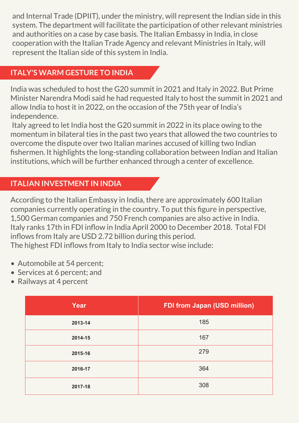and Internal Trade (DPIIT), under the ministry, will represent the Indian side in this system. The department will facilitate the participation of other relevant ministries and authorities on a case by case basis. The Italian Embassy in India, in close cooperation with the Italian Trade Agency and relevant Ministries in Italy, will represent the Italian side of this system in India.

#### **ITALY'S WARM GESTURE TO INDIA**

India was scheduled to host the G20 summit in 2021 and Italy in 2022. But Prime Minister Narendra Modi said he had requested Italy to host the summit in 2021 and allow India to host it in 2022, on the occasion of the 75th year of India's independence.

 Italy agreed to let India host the G20 summit in 2022 in its place owing to the momentum in bilateral ties in the past two years that allowed the two countries to overcome the dispute over two Italian marines accused of killing two Indian fishermen. It highlights the long-standing collaboration between Indian and Italian institutions, which will be further enhanced through a center of excellence.

#### **ITALIAN INVESTMENT IN INDIA**

According to the Italian Embassy in India, there are approximately 600 Italian companies currently operating in the country. To put this figure in perspective, 1,500 German companies and 750 French companies are also active in India. Italy ranks 17th in FDI inflow in India April 2000 to December 2018. Total FDI inflows from Italy are USD 2.72 billion during this period. The highest FDI inflows from Italy to India sector wise include:

- Automobile at 54 percent;
- Services at 6 percent: and
- Railways at 4 percent

| Year    | <b>FDI from Japan (USD million)</b> |
|---------|-------------------------------------|
| 2013-14 | 185                                 |
| 2014-15 | 167                                 |
| 2015-16 | 279                                 |
| 2016-17 | 364                                 |
| 2017-18 | 308                                 |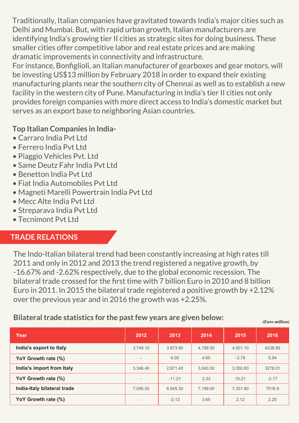Traditionally, Italian companies have gravitated towards India's major cities such as Delhi and Mumbai. But, with rapid urban growth, Italian manufacturers are identifying India's growing tier II cities as strategic sites for doing business. These smaller cities offer competitive labor and real estate prices and are making dramatic improvements in connectivity and infrastructure.

For instance, Bonfiglioli, an Italian manufacturer of gearboxes and gear motors, will be investing US\$13 million by February 2018 in order to expand their existing manufacturing plants near the southern city of Chennai as well as to establish a new facility in the western city of Pune. Manufacturing in India's tier II cities not only provides foreign companies with more direct access to India's domestic market but serves as an export base to neighboring Asian countries.

#### **Top Italian Companies in India-**

- Carraro India Pvt Ltd
- Ferrero India Pvt Ltd
- Piaggio Vehicles Pvt. Ltd
- Same Deutz Fahr India Pvt Ltd
- Benetton India Pvt Ltd
- Fiat India Automobiles Pvt Ltd
- Magneti Marelli Powertrain India Pvt Ltd
- Mecc Alte India Pvt Ltd
- Streparava India Pvt Ltd
- Tecnimont Pvt Ltd

#### **TRADE RELATIONS**

The Indo-Italian bilateral trend had been constantly increasing at high rates till 2011 and only in 2012 and 2013 the trend registered a negative growth, by -16.67% and -2.62% respectively, due to the global economic recession. The bilateral trade crossed for the first time with 7 billion Euro in 2010 and 8 billion Euro in 2011. In 2015 the bilateral trade registered a positive growth by +2.12% over the previous year and in 2016 the growth was +2.25%.

#### **Bilateral trade statistics for the past few years are given below:** *(Euro million)*

| Year                        | 2012                     | 2013     | 2014     | 2015     | 2016    |
|-----------------------------|--------------------------|----------|----------|----------|---------|
| India's export to Italy     | 3.749.10                 | 3.973.90 | 4,158.50 | 4.001.10 | 4238.89 |
| YoY Growth rate (%)         | $\overline{\phantom{a}}$ | 6.00     | 4.65     | $-3.79$  | 5.94    |
| India's import from Italy   | 3.346.40                 | 2.971.40 | 3,040.50 | 3,350.80 | 3278.01 |
| YoY Growth rate (%)         | $\overline{\phantom{a}}$ | $-11.21$ | 2.33     | 10.21    | $-2.17$ |
| India-Italy bilateral trade | 7.095.50                 | 6.945.30 | 7,199.00 | 7.351.80 | 7516.9  |
| YoY Growth rate (%)         | $\overline{\phantom{a}}$ | $-2.12$  | 3.65     | 2.12     | 2.25    |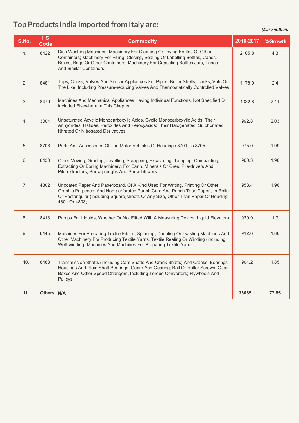#### **Top Products India Imported from Italy are:**

*(Euro million)*

| S.No.          | <b>HS</b><br>Code | <b>Commodity</b>                                                                                                                                                                                                                                                        | 2016-2017 | %Growth |
|----------------|-------------------|-------------------------------------------------------------------------------------------------------------------------------------------------------------------------------------------------------------------------------------------------------------------------|-----------|---------|
| 1.             | 8422              | Dish Washing Machines; Machinery For Cleaning Or Drying Bottles Or Other<br>Containers; Machinery For Filling, Closing, Sealing Or Labelling Bottles, Canes,<br>Boxes, Bags Or Other Containers; Machinery For Capsuling Bottles Jars, Tubes<br>And Similar Containers; | 2105.8    | 4.3     |
| 2.             | 8481              | Taps, Cocks, Valves And Similar Appliances For Pipes, Boiler Shells, Tanks, Vats Or<br>The Like, Including Pressure-reducing Valves And Thermostatically Controlled Valves                                                                                              | 1178.0    | 2.4     |
| 3.             | 8479              | Machines And Mechanical Appliances Having Individual Functions, Not Specified Or<br>Included Elsewhere In This Chapter                                                                                                                                                  | 1032.8    | 2.11    |
| 4.             | 3004              | Unsaturated Acyclic Monocarboxylic Acids, Cyclic Monocarboxylic Acids, Their<br>Anhydrides, Halides, Peroxides And Peroxyacids; Their Halogenated, Sulphonated,<br><b>Nitrated Or Nitrosated Derivatives</b>                                                            | 992.8     | 2.03    |
| 5 <sub>1</sub> | 8708              | Parts And Accessories Of The Motor Vehicles Of Headings 8701 To 8705                                                                                                                                                                                                    | 975.0     | 1.99    |
| 6.             | 8430              | Other Moving, Grading, Levelling, Scrapping, Excavating, Tamping, Compacting,<br>Extracting Or Boring Machinery, For Earth, Minerals Or Ores; Pile-drivers And<br>Pile-extractors; Snow-ploughs And Snow-blowers                                                        | 960.3     | 1.96    |
| 7.             | 4802              | Uncoated Paper And Paperboard, Of A Kind Used For Writing, Printing Or Other<br>Graphic Purposes, And Non-perforated Punch Card And Punch Tape Paper, In Rolls<br>Or Rectangular (including Square)sheets Of Any Size, Other Than Paper Of Heading<br>4801 Or 4803;     | 958.4     | 1.96    |
| 8.             | 8413              | Pumps For Liquids, Whether Or Not Fitted With A Measuring Device; Liquid Elevators                                                                                                                                                                                      | 930.9     | 1.9     |
| 9.             | 8445              | Machines For Preparing Textile Fibres; Spinning, Doubling Or Twisting Machines And<br>Other Machinery For Producing Textile Yarns; Textile Reeling Or Winding (including<br>Weft-winding) Machines And Machines For Preparing Textile Yarns                             | 912.6     | 1.86    |
| 10.            | 8483              | Transmission Shafts (including Cam Shafts And Crank Shafts) And Cranks; Bearings<br>Housings And Plain Shaft Bearings; Gears And Gearing; Ball Or Roller Screws; Gear<br>Boxes And Other Speed Changers, Including Torque Converters; Flywheels And<br>Pulleys          | 904.2     | 1.85    |
| 11.            | Others N/A        |                                                                                                                                                                                                                                                                         | 38035.1   | 77.65   |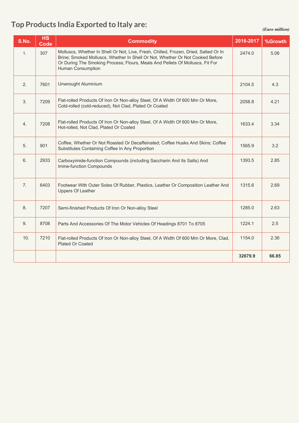#### **Top Products India Exported to Italy are:**

#### *(Euro million)*

| S.No. | <b>HS</b><br>Code | <b>Commodity</b>                                                                                                                                                                                                                                                            | 2016-2017   %Growth |       |
|-------|-------------------|-----------------------------------------------------------------------------------------------------------------------------------------------------------------------------------------------------------------------------------------------------------------------------|---------------------|-------|
|       | 307               | Molluscs, Whether In Shell Or Not, Live, Fresh, Chilled, Frozen, Dried, Salted Or In<br>Brine; Smoked Molluscs, Whether In Shell Or Not, Whether Or Not Cooked Before<br>Or During The Smoking Process; Flours, Meals And Pellets Of Molluscs, Fit For<br>Human Consumption | 2474.0              | 5.06  |
|       | 7601              | Unwrought Aluminium                                                                                                                                                                                                                                                         | 2104.5              | 4.3   |
|       | 7209              | Flat-rolled Products Of Iron Or Non-alloy Steel, Of A Width Of 600 Mm Or More,<br>Cold-rolled (cold-reduced), Not Clad, Plated Or Coated                                                                                                                                    | 2058.8              | 4.21  |
|       | 7208              | Flat-rolled Products Of Iron Or Non-alloy Steel, Of A Width Of 600 Mm Or More,<br>Hot-rolled, Not Clad, Plated Or Coated                                                                                                                                                    | 1633.4              | 3.34  |
|       | 901               | Coffee, Whether Or Not Roasted Or Decaffeinated; Coffee Husks And Skins; Coffee<br>Substitutes Containing Coffee In Any Proportion                                                                                                                                          | 1565.9              | 3.2   |
|       | $\vert$ 2933      | Carboxyimide-function Compounds (including Saccharin And Its Salts) And<br>Imine-function Compounds                                                                                                                                                                         | 1393.5              | 2.85  |
|       | 6403              | Footwear With Outer Soles Of Rubber, Plastics, Leather Or Composition Leather And<br>Uppers Of Leather                                                                                                                                                                      | 1315.6              | 2.69  |
|       | 7207              | Semi-finished Products Of Iron Or Non-alloy Steel                                                                                                                                                                                                                           | 1285.0              | 2.63  |
|       | 8708              | Parts And Accessories Of The Motor Vehicles Of Headings 8701 To 8705                                                                                                                                                                                                        | 1224.1              | 2.5   |
|       | 10. $\sqrt{7210}$ | Flat-rolled Products Of Iron Or Non-alloy Steel, Of A Width Of 600 Mm Or More, Clad,<br>Plated Or Coated                                                                                                                                                                    | 1154.0              | 2.36  |
|       |                   |                                                                                                                                                                                                                                                                             | 32679.9             | 66.85 |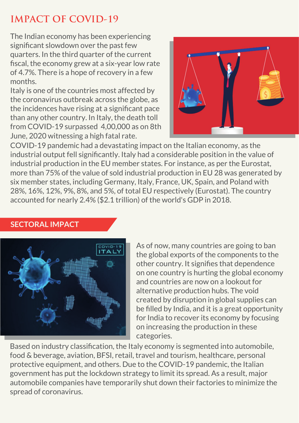# **IMPACT OF COVID-19**

The Indian economy has been experiencing significant slowdown over the past few quarters. In the third quarter of the current fiscal, the economy grew at a six-year low rate of 4.7%. There is a hope of recovery in a few months.

Italy is one of the countries most affected by the coronavirus outbreak across the globe, as the incidences have rising at a significant pace than any other country. In Italy, the death toll from COVID-19 surpassed 4,00,000 as on 8th June, 2020 witnessing a high fatal rate.



COVID-19 pandemic had a devastating impact on the Italian economy, as the industrial output fell significantly. Italy had a considerable position in the value of industrial production in the EU member states. For instance, as per the Eurostat, more than 75% of the value of sold industrial production in EU 28 was generated by six member states, including Germany, Italy, France, UK, Spain, and Poland with 28%, 16%, 12%, 9%, 8%, and 5%, of total EU respectively (Eurostat). The country accounted for nearly 2.4% (\$2.1 trillion) of the world's GDP in 2018.

#### **SECTORAL IMPACT**



As of now, many countries are going to ban the global exports of the components to the other country. It signifies that dependence on one country is hurting the global economy and countries are now on a lookout for alternative production hubs. The void created by disruption in global supplies can be filled by India, and it is a great opportunity for India to recover its economy by focusing on increasing the production in these categories.

Based on industry classification, the Italy economy is segmented into automobile, food & beverage, aviation, BFSI, retail, travel and tourism, healthcare, personal protective equipment, and others. Due to the COVID-19 pandemic, the Italian government has put the lockdown strategy to limit its spread. As a result, major automobile companies have temporarily shut down their factories to minimize the spread of coronavirus.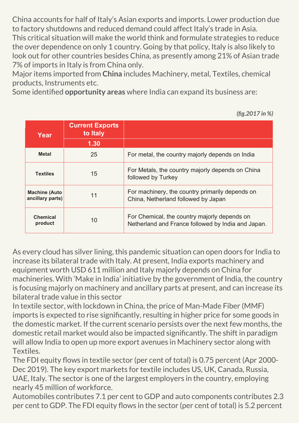China accounts for half of Italy's Asian exports and imports. Lower production due to factory shutdowns and reduced demand could affect Italy's trade in Asia. This critical situation will make the world think and formulate strategies to reduce the over dependence on only 1 country. Going by that policy, Italy is also likely to look out for other countries besides China, as presently among 21% of Asian trade 7% of imports in Italy is from China only.

Major items imported from **China** includes Machinery, metal, Textiles, chemical products, Instruments etc.

Some identified **opportunity areas** where India can expand its business are:

**Year Current Exports to Italy 1.30 Metal Textiles Machine (Auto ancillary parts) Chemical product** For metal, the country majorly depends on India For Metals, the country majorly depends on China followed by Turkey For machinery, the country primarily depends on China, Netherland followed by Japan For Chemical, the country majorly depends on Netherland and France followed by India and Japan. 25 11 10 15

As every cloud has silver lining, this pandemic situation can open doors for India to increase its bilateral trade with Italy. At present, India exports machinery and equipment worth USD 611 million and Italy majorly depends on China for machineries. With 'Make in India' initiative by the government of India, the country is focusing majorly on machinery and ancillary parts at present, and can increase its bilateral trade value in this sector

In textile sector, with lockdown in China, the price of Man-Made Fiber (MMF) imports is expected to rise significantly, resulting in higher price for some goods in the domestic market. If the current scenario persists over the next few months, the domestic retail market would also be impacted significantly. The shift in paradigm will allow India to open up more export avenues in Machinery sector along with Textiles.

The FDI equity flows in textile sector (per cent of total) is 0.75 percent (Apr 2000- Dec 2019). The key export markets for textile includes US, UK, Canada, Russia, UAE, Italy. The sector is one of the largest employers in the country, employing nearly 45 million of workforce.

Automobiles contributes 7.1 per cent to GDP and auto components contributes 2.3 per cent to GDP. The FDI equity flows in the sector (per cent of total) is 5.2 percent

*(fig.2017 in %)*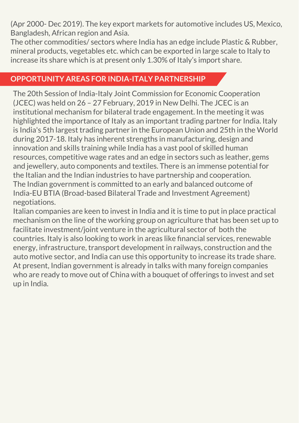(Apr 2000- Dec 2019). The key export markets for automotive includes US, Mexico, Bangladesh, African region and Asia.

The other commodities/ sectors where India has an edge include Plastic & Rubber, mineral products, vegetables etc. which can be exported in large scale to Italy to increase its share which is at present only 1.30% of Italy's import share.

#### **OPPORTUNITY AREAS FOR INDIA-ITALY PARTNERSHIP**

The 20th Session of India-Italy Joint Commission for Economic Cooperation (JCEC) was held on 26 – 27 February, 2019 in New Delhi. The JCEC is an institutional mechanism for bilateral trade engagement. In the meeting it was highlighted the importance of Italy as an important trading partner for India. Italy is India's 5th largest trading partner in the European Union and 25th in the World during 2017-18. Italy has inherent strengths in manufacturing, design and innovation and skills training while India has a vast pool of skilled human resources, competitive wage rates and an edge in sectors such as leather, gems and jewellery, auto components and textiles. There is an immense potential for the Italian and the Indian industries to have partnership and cooperation. The Indian government is committed to an early and balanced outcome of India-EU BTIA (Broad-based Bilateral Trade and Investment Agreement) negotiations.

Italian companies are keen to invest in India and it is time to put in place practical mechanism on the line of the working group on agriculture that has been set up to facilitate investment/joint venture in the agricultural sector of both the countries. Italy is also looking to work in areas like financial services, renewable energy, infrastructure, transport development in railways, construction and the auto motive sector, and India can use this opportunity to increase its trade share. At present, Indian government is already in talks with many foreign companies who are ready to move out of China with a bouquet of offerings to invest and set up in India.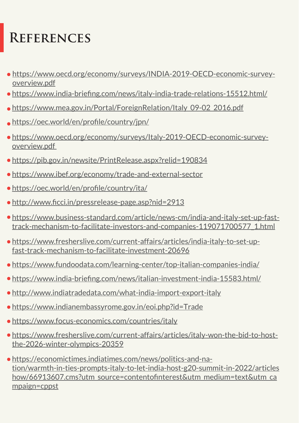# **References**

- https://www.oecd.org/economy/surveys/INDIA-2019-OECD-economic-surveyoverview.pdf
- https://www.india-briefing.com/news/italy-india-trade-relations-15512.html/
- https://www.mea.gov.in/Portal/ForeignRelation/Italy\_09-02\_2016.pdf
- https://oec.world/en/profile/country/jpn/
- https://www.oecd.org/economy/surveys/Italy-2019-OECD-economic-surveyoverview.pdf
- https://pib.gov.in/newsite/PrintRelease.aspx?relid=190834
- https://www.ibef.org/economy/trade-and-external-sector
- https://oec.world/en/profile/country/ita/
- http://www.ficci.in/pressrelease-page.asp?nid=2913
- https://www.business-standard.com/article/news-cm/india-and-italy-set-up-fasttrack-mechanism-to-facilitate-investors-and-companies-119071700577\_1.html
- https://www.fresherslive.com/current-affairs/articles/india-italy-to-set-upfast-track-mechanism-to-facilitate-investment-20696
- https://www.fundoodata.com/learning-center/top-italian-companies-india/
- https://www.india-briefing.com/news/italian-investment-india-15583.html/
- http://www.indiatradedata.com/what-india-import-export-italy
- https://www.indianembassyrome.gov.in/eoi.php?id=Trade
- https://www.focus-economics.com/countries/italy
- https://www.fresherslive.com/current-affairs/articles/italy-won-the-bid-to-hostthe-2026-winter-olympics-20359
- https://economictimes.indiatimes.com/news/politics-and-nation/warmth-in-ties-prompts-italy-to-let-india-host-g20-summit-in-2022/articles how/66913607.cms?utm\_source=contentofinterest&utm\_medium=text&utm\_ca mpaign=cppst